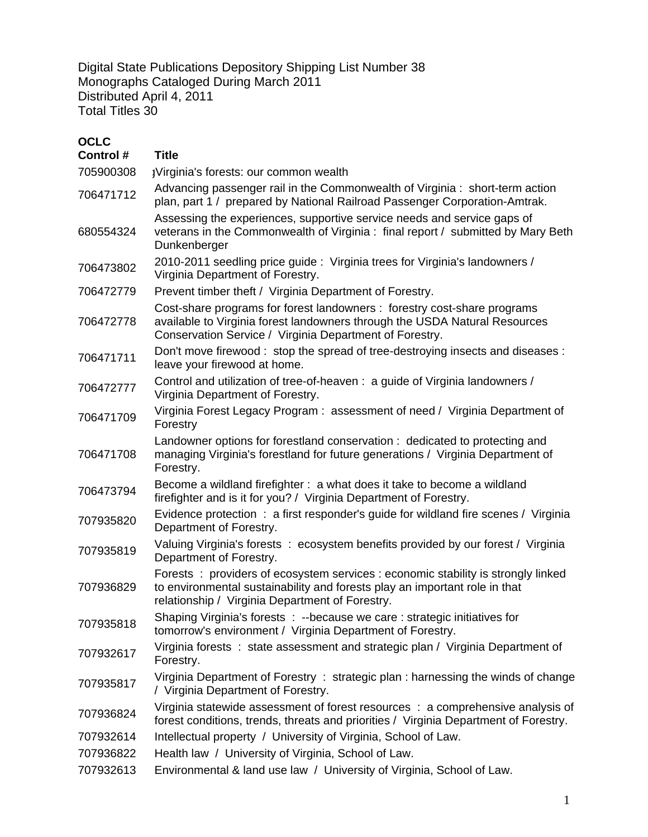Digital State Publications Depository Shipping List Number 38 Monographs Cataloged During March 2011 Distributed April 4, 2011 Total Titles 30

## **OCLC**

| Control # | <b>Title</b>                                                                                                                                                                                                      |
|-----------|-------------------------------------------------------------------------------------------------------------------------------------------------------------------------------------------------------------------|
| 705900308 | ¡Virginia's forests: our common wealth                                                                                                                                                                            |
| 706471712 | Advancing passenger rail in the Commonwealth of Virginia: short-term action<br>plan, part 1 / prepared by National Railroad Passenger Corporation-Amtrak.                                                         |
| 680554324 | Assessing the experiences, supportive service needs and service gaps of<br>veterans in the Commonwealth of Virginia: final report / submitted by Mary Beth<br>Dunkenberger                                        |
| 706473802 | 2010-2011 seedling price guide: Virginia trees for Virginia's landowners /<br>Virginia Department of Forestry.                                                                                                    |
| 706472779 | Prevent timber theft / Virginia Department of Forestry.                                                                                                                                                           |
| 706472778 | Cost-share programs for forest landowners: forestry cost-share programs<br>available to Virginia forest landowners through the USDA Natural Resources<br>Conservation Service / Virginia Department of Forestry.  |
| 706471711 | Don't move firewood: stop the spread of tree-destroying insects and diseases:<br>leave your firewood at home.                                                                                                     |
| 706472777 | Control and utilization of tree-of-heaven : a guide of Virginia landowners /<br>Virginia Department of Forestry.                                                                                                  |
| 706471709 | Virginia Forest Legacy Program: assessment of need / Virginia Department of<br>Forestry                                                                                                                           |
| 706471708 | Landowner options for forestland conservation: dedicated to protecting and<br>managing Virginia's forestland for future generations / Virginia Department of<br>Forestry.                                         |
| 706473794 | Become a wildland firefighter: a what does it take to become a wildland<br>firefighter and is it for you? / Virginia Department of Forestry.                                                                      |
| 707935820 | Evidence protection : a first responder's guide for wildland fire scenes / Virginia<br>Department of Forestry.                                                                                                    |
| 707935819 | Valuing Virginia's forests : ecosystem benefits provided by our forest / Virginia<br>Department of Forestry.                                                                                                      |
| 707936829 | Forests: providers of ecosystem services : economic stability is strongly linked<br>to environmental sustainability and forests play an important role in that<br>relationship / Virginia Department of Forestry. |
| 707935818 | Shaping Virginia's forests : --because we care : strategic initiatives for<br>tomorrow's environment / Virginia Department of Forestry.                                                                           |
| 707932617 | Virginia forests: state assessment and strategic plan / Virginia Department of<br>Forestry.                                                                                                                       |
| 707935817 | Virginia Department of Forestry: strategic plan: harnessing the winds of change<br>/ Virginia Department of Forestry.                                                                                             |
| 707936824 | Virginia statewide assessment of forest resources : a comprehensive analysis of<br>forest conditions, trends, threats and priorities / Virginia Department of Forestry.                                           |
| 707932614 | Intellectual property / University of Virginia, School of Law.                                                                                                                                                    |
| 707936822 | Health law / University of Virginia, School of Law.                                                                                                                                                               |
| 707932613 | Environmental & land use law / University of Virginia, School of Law.                                                                                                                                             |